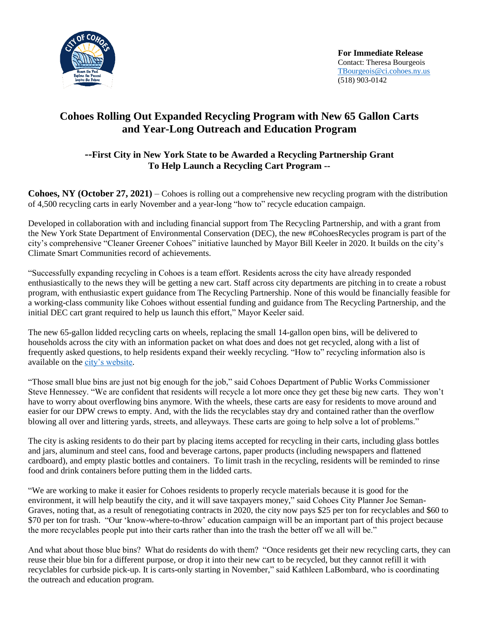

**For Immediate Release** Contact: Theresa Bourgeois [TBourgeois@ci.cohoes.ny.us](mailto:TBourgeois@ci.cohoes.ny.us) (518) 903-0142

# **Cohoes Rolling Out Expanded Recycling Program with New 65 Gallon Carts and Year-Long Outreach and Education Program**

## **--First City in New York State to be Awarded a Recycling Partnership Grant To Help Launch a Recycling Cart Program --**

**Cohoes, NY (October 27, 2021)** – Cohoes is rolling out a comprehensive new recycling program with the distribution of 4,500 recycling carts in early November and a year-long "how to" recycle education campaign.

Developed in collaboration with and including financial support from The Recycling Partnership, and with a grant from the New York State Department of Environmental Conservation (DEC), the new #CohoesRecycles program is part of the city's comprehensive "Cleaner Greener Cohoes" initiative launched by Mayor Bill Keeler in 2020. It builds on the city's Climate Smart Communities record of achievements.

"Successfully expanding recycling in Cohoes is a team effort. Residents across the city have already responded enthusiastically to the news they will be getting a new cart. Staff across city departments are pitching in to create a robust program, with enthusiastic expert guidance from The Recycling Partnership. None of this would be financially feasible for a working-class community like Cohoes without essential funding and guidance from The Recycling Partnership, and the initial DEC cart grant required to help us launch this effort," Mayor Keeler said.

The new 65-gallon lidded recycling carts on wheels, replacing the small 14-gallon open bins, will be delivered to households across the city with an information packet on what does and does not get recycled, along with a list of frequently asked questions, to help residents expand their weekly recycling. "How to" recycling information also is available on the [city's website.](https://www.ci.cohoes.ny.us/384/Recycling-Trash)

"Those small blue bins are just not big enough for the job," said Cohoes Department of Public Works Commissioner Steve Hennessey. "We are confident that residents will recycle a lot more once they get these big new carts. They won't have to worry about overflowing bins anymore. With the wheels, these carts are easy for residents to move around and easier for our DPW crews to empty. And, with the lids the recyclables stay dry and contained rather than the overflow blowing all over and littering yards, streets, and alleyways. These carts are going to help solve a lot of problems."

The city is asking residents to do their part by placing items accepted for recycling in their carts, including glass bottles and jars, aluminum and steel cans, food and beverage cartons, paper products (including newspapers and flattened cardboard), and empty plastic bottles and containers. To limit trash in the recycling, residents will be reminded to rinse food and drink containers before putting them in the lidded carts.

"We are working to make it easier for Cohoes residents to properly recycle materials because it is good for the environment, it will help beautify the city, and it will save taxpayers money," said Cohoes City Planner Joe Seman-Graves, noting that, as a result of renegotiating contracts in 2020, the city now pays \$25 per ton for recyclables and \$60 to \$70 per ton for trash. "Our 'know-where-to-throw' education campaign will be an important part of this project because the more recyclables people put into their carts rather than into the trash the better off we all will be."

And what about those blue bins? What do residents do with them? "Once residents get their new recycling carts, they can reuse their blue bin for a different purpose, or drop it into their new cart to be recycled, but they cannot refill it with recyclables for curbside pick-up. It is carts-only starting in November," said Kathleen LaBombard, who is coordinating the outreach and education program.